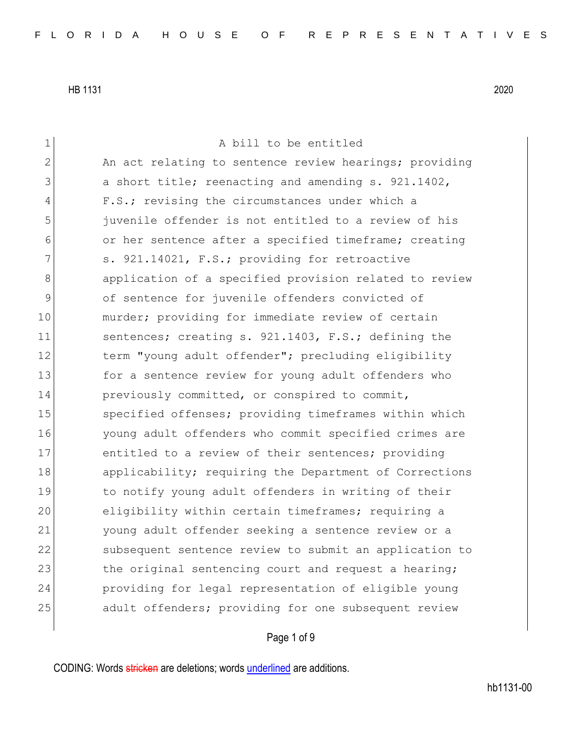1 a bill to be entitled 2 An act relating to sentence review hearings; providing 3 a short title; reenacting and amending s. 921.1402, 4 F.S.; revising the circumstances under which a 5 juvenile offender is not entitled to a review of his 6 or her sentence after a specified timeframe; creating 7 s. 921.14021, F.S.; providing for retroactive 8 8 8 application of a specified provision related to review 9 of sentence for juvenile offenders convicted of 10 murder; providing for immediate review of certain 11 sentences; creating s. 921.1403, F.S.; defining the 12 term "young adult offender"; precluding eligibility 13 for a sentence review for young adult offenders who 14 previously committed, or conspired to commit, 15 specified offenses; providing timeframes within which 16 young adult offenders who commit specified crimes are 17 entitled to a review of their sentences; providing 18 applicability; requiring the Department of Corrections 19 19 to notify young adult offenders in writing of their 20 eligibility within certain timeframes; requiring a 21 young adult offender seeking a sentence review or a 22 Subsequent sentence review to submit an application to 23 the original sentencing court and request a hearing; 24 providing for legal representation of eligible young 25 adult offenders; providing for one subsequent review

### Page 1 of 9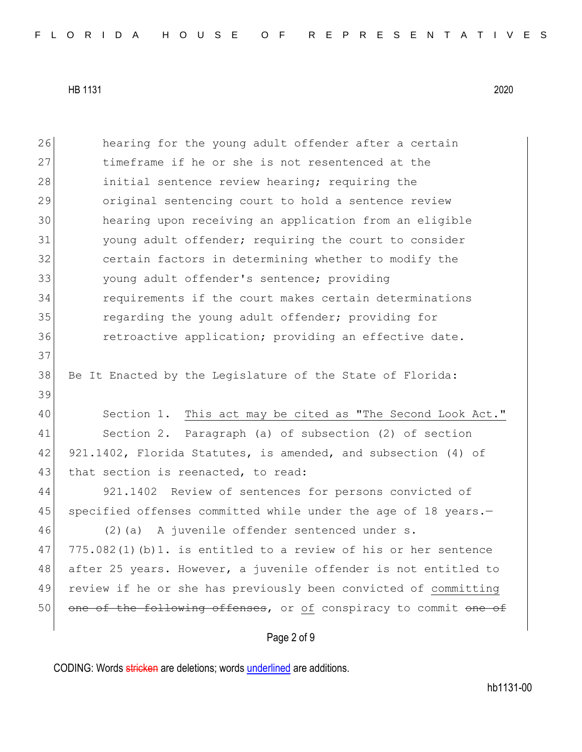Page 2 of 9 26 hearing for the young adult offender after a certain 27 timeframe if he or she is not resentenced at the 28 initial sentence review hearing; requiring the 29 original sentencing court to hold a sentence review 30 hearing upon receiving an application from an eligible 31 young adult offender; requiring the court to consider 32 certain factors in determining whether to modify the 33 young adult offender's sentence; providing 34 requirements if the court makes certain determinations 35 regarding the young adult offender; providing for 36 retroactive application; providing an effective date. 37 38 Be It Enacted by the Legislature of the State of Florida: 39 40 Section 1. This act may be cited as "The Second Look Act." 41 Section 2. Paragraph (a) of subsection (2) of section 42 921.1402, Florida Statutes, is amended, and subsection (4) of 43 that section is reenacted, to read: 44 921.1402 Review of sentences for persons convicted of 45 specified offenses committed while under the age of 18 years.-46 (2)(a) A juvenile offender sentenced under s.  $47$  775.082(1)(b)1. is entitled to a review of his or her sentence 48 after 25 years. However, a juvenile offender is not entitled to 49 review if he or she has previously been convicted of committing 50 one of the following offenses, or of conspiracy to commit one of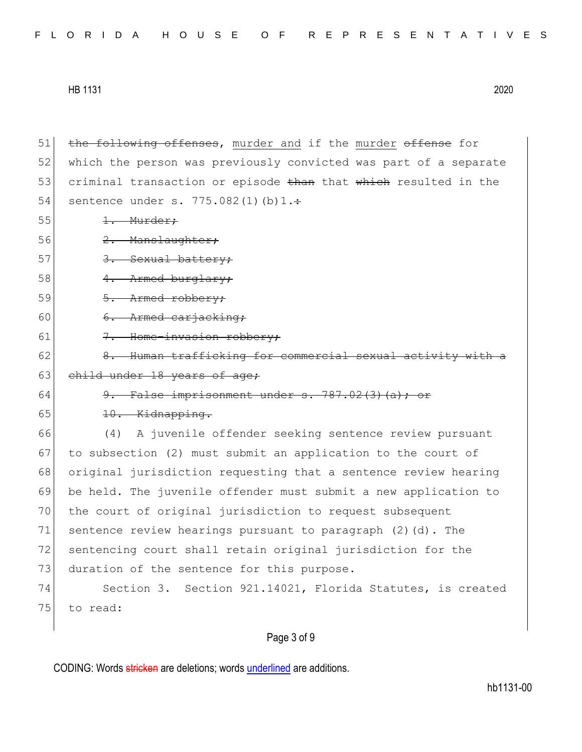51 the following offenses, murder and if the murder offense for 52 which the person was previously convicted was part of a separate 53 criminal transaction or episode than that which resulted in the 54 sentence under s.  $775.082(1)(b)1. \div$  $55$   $1.$  Murder; 56 2. Manslaughter; 57 3. Sexual battery; 58 4. Armed burglary; 59 5. Armed robbery; 60  $\sqrt{6}$ . Armed carjacking: 61 7. Home-invasion robbery; 62  $\vert$  8. Human trafficking for commercial sexual activity with a 63 child under 18 years of age; 64  $\theta$ . False imprisonment under s. 787.02(3)(a); 65 10. Kidnapping. 66 (4) A juvenile offender seeking sentence review pursuant 67 to subsection (2) must submit an application to the court of 68 original jurisdiction requesting that a sentence review hearing 69 be held. The juvenile offender must submit a new application to 70 the court of original jurisdiction to request subsequent 71 sentence review hearings pursuant to paragraph  $(2)$   $(d)$ . The 72 sentencing court shall retain original jurisdiction for the 73 duration of the sentence for this purpose. 74 Section 3. Section 921.14021, Florida Statutes, is created 75 to read:

### Page 3 of 9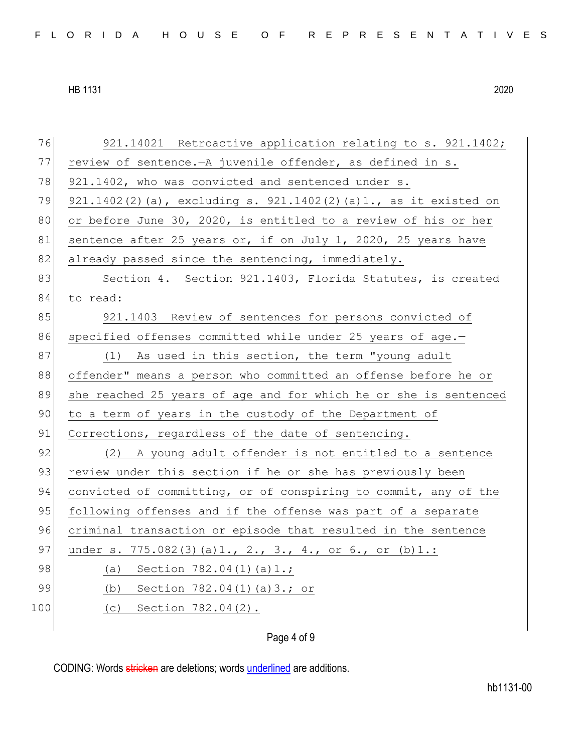| 76  | 921.14021 Retroactive application relating to s. 921.1402;       |
|-----|------------------------------------------------------------------|
| 77  | review of sentence. - A juvenile offender, as defined in s.      |
| 78  | 921.1402, who was convicted and sentenced under s.               |
| 79  | 921.1402(2)(a), excluding s. 921.1402(2)(a)1., as it existed on  |
| 80  | or before June 30, 2020, is entitled to a review of his or her   |
| 81  | sentence after 25 years or, if on July 1, 2020, 25 years have    |
| 82  | already passed since the sentencing, immediately.                |
| 83  | Section 4. Section 921.1403, Florida Statutes, is created        |
| 84  | to read:                                                         |
| 85  | 921.1403 Review of sentences for persons convicted of            |
| 86  | specified offenses committed while under 25 years of age.-       |
| 87  | (1) As used in this section, the term "young adult               |
| 88  | offender" means a person who committed an offense before he or   |
|     |                                                                  |
| 89  | she reached 25 years of age and for which he or she is sentenced |
| 90  | to a term of years in the custody of the Department of           |
| 91  | Corrections, regardless of the date of sentencing.               |
| 92  | (2) A young adult offender is not entitled to a sentence         |
| 93  | review under this section if he or she has previously been       |
| 94  | convicted of committing, or of conspiring to commit, any of the  |
| 95  | following offenses and if the offense was part of a separate     |
| 96  | criminal transaction or episode that resulted in the sentence    |
| 97  | under s. 775.082(3)(a)1., 2., 3., 4., or 6., or (b)1.:           |
| 98  | (a) Section $782.04(1)(a)1$ .;                                   |
| 99  | (b) Section $782.04(1)$ (a) $3.7$ or                             |
| 100 | (c) Section $782.04(2)$ .                                        |

### Page 4 of 9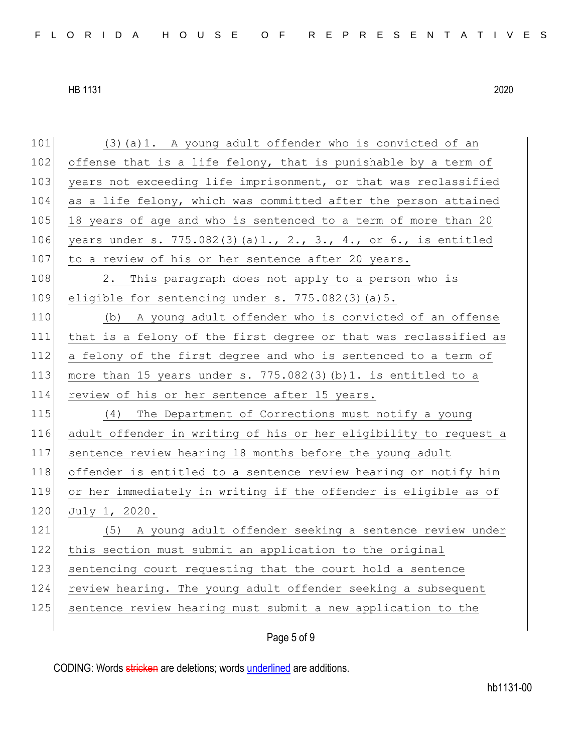101 (3) (a) 1. A young adult offender who is convicted of an 102 offense that is a life felony, that is punishable by a term of 103 years not exceeding life imprisonment, or that was reclassified 104 as a life felony, which was committed after the person attained 105 18 years of age and who is sentenced to a term of more than 20 106 years under s. 775.082(3)(a)1., 2., 3., 4., or 6., is entitled 107 to a review of his or her sentence after 20 years. 108 2. This paragraph does not apply to a person who is 109 eligible for sentencing under s. 775.082(3)(a)5. 110 (b) A young adult offender who is convicted of an offense 111 that is a felony of the first degree or that was reclassified as 112 a felony of the first degree and who is sentenced to a term of 113 more than 15 years under s.  $775.082(3)(b)1$ . is entitled to a 114 review of his or her sentence after 15 years. 115 (4) The Department of Corrections must notify a young 116 adult offender in writing of his or her eligibility to request a 117 sentence review hearing 18 months before the young adult 118 offender is entitled to a sentence review hearing or notify him 119 or her immediately in writing if the offender is eligible as of 120 July 1, 2020. 121 (5) A young adult offender seeking a sentence review under 122 this section must submit an application to the original 123 sentencing court requesting that the court hold a sentence 124 review hearing. The young adult offender seeking a subsequent 125 sentence review hearing must submit a new application to the

### Page 5 of 9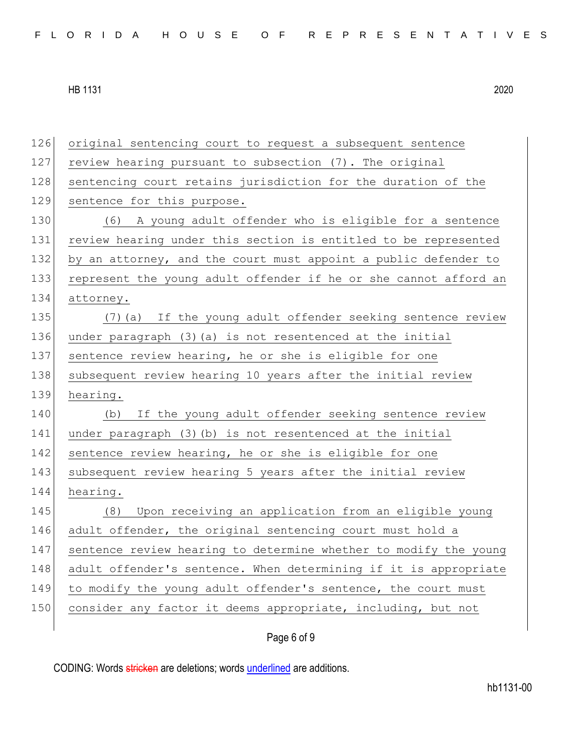| 126 | original sentencing court to request a subsequent sentence       |
|-----|------------------------------------------------------------------|
| 127 | review hearing pursuant to subsection (7). The original          |
| 128 | sentencing court retains jurisdiction for the duration of the    |
| 129 | sentence for this purpose.                                       |
| 130 | (6) A young adult offender who is eligible for a sentence        |
| 131 | review hearing under this section is entitled to be represented  |
| 132 | by an attorney, and the court must appoint a public defender to  |
| 133 | represent the young adult offender if he or she cannot afford an |
| 134 | attorney.                                                        |
| 135 | (7) (a) If the young adult offender seeking sentence review      |
| 136 | under paragraph (3) (a) is not resentenced at the initial        |
| 137 | sentence review hearing, he or she is eligible for one           |
| 138 | subsequent review hearing 10 years after the initial review      |
| 139 | hearing.                                                         |
| 140 | If the young adult offender seeking sentence review<br>(b)       |
|     | under paragraph (3) (b) is not resentenced at the initial        |
| 141 |                                                                  |
| 142 | sentence review hearing, he or she is eligible for one           |
| 143 | subsequent review hearing 5 years after the initial review       |
| 144 | hearing.                                                         |
| 145 | Upon receiving an application from an eligible young<br>(8)      |
| 146 | adult offender, the original sentencing court must hold a        |
| 147 | sentence review hearing to determine whether to modify the young |
| 148 | adult offender's sentence. When determining if it is appropriate |
| 149 | to modify the young adult offender's sentence, the court must    |
| 150 | consider any factor it deems appropriate, including, but not     |

## Page 6 of 9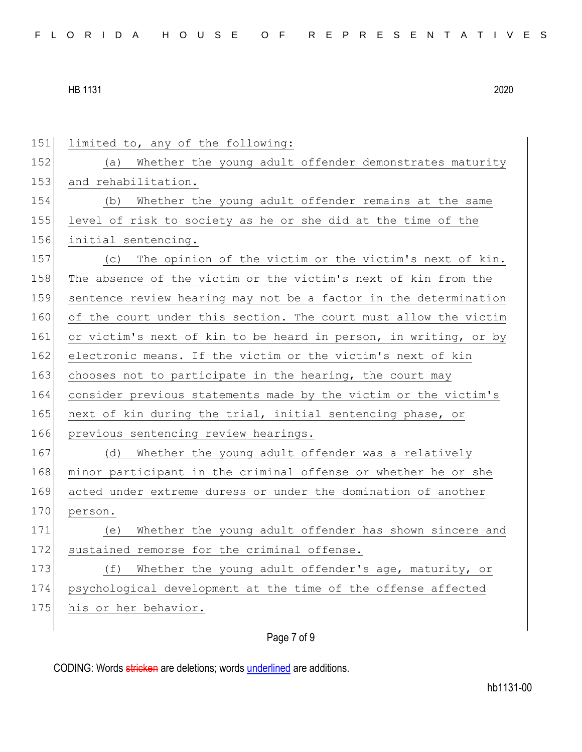| 151 | limited to, any of the following:                                |
|-----|------------------------------------------------------------------|
| 152 | Whether the young adult offender demonstrates maturity<br>(a)    |
| 153 | and rehabilitation.                                              |
| 154 | Whether the young adult offender remains at the same<br>(b)      |
| 155 | level of risk to society as he or she did at the time of the     |
| 156 | initial sentencing.                                              |
| 157 | (c) The opinion of the victim or the victim's next of kin.       |
| 158 | The absence of the victim or the victim's next of kin from the   |
| 159 | sentence review hearing may not be a factor in the determination |
| 160 | of the court under this section. The court must allow the victim |
| 161 | or victim's next of kin to be heard in person, in writing, or by |
| 162 | electronic means. If the victim or the victim's next of kin      |
| 163 | chooses not to participate in the hearing, the court may         |
| 164 | consider previous statements made by the victim or the victim's  |
| 165 | next of kin during the trial, initial sentencing phase, or       |
| 166 | previous sentencing review hearings.                             |
| 167 | Whether the young adult offender was a relatively<br>(d)         |
| 168 | minor participant in the criminal offense or whether he or she   |
| 169 | acted under extreme duress or under the domination of another    |
| 170 | person.                                                          |
| 171 | Whether the young adult offender has shown sincere and<br>(e)    |
| 172 | sustained remorse for the criminal offense.                      |
| 173 | Whether the young adult offender's age, maturity, or<br>(f)      |
| 174 | psychological development at the time of the offense affected    |
| 175 | his or her behavior.                                             |
|     |                                                                  |

# Page 7 of 9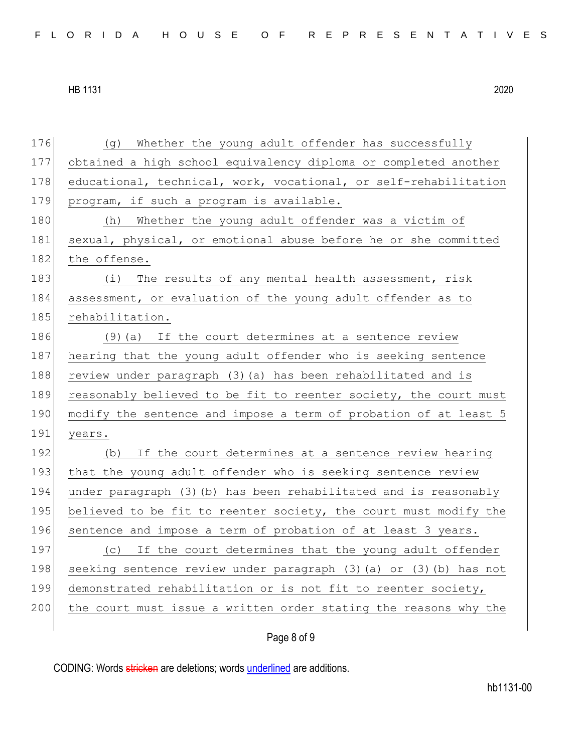| 176 | (g) Whether the young adult offender has successfully              |
|-----|--------------------------------------------------------------------|
| 177 | obtained a high school equivalency diploma or completed another    |
| 178 | educational, technical, work, vocational, or self-rehabilitation   |
| 179 | program, if such a program is available.                           |
| 180 | (h) Whether the young adult offender was a victim of               |
| 181 | sexual, physical, or emotional abuse before he or she committed    |
| 182 | the offense.                                                       |
| 183 | (i) The results of any mental health assessment, risk              |
| 184 | assessment, or evaluation of the young adult offender as to        |
| 185 | rehabilitation.                                                    |
| 186 | $(9)$ (a) If the court determines at a sentence review             |
| 187 | hearing that the young adult offender who is seeking sentence      |
| 188 | review under paragraph (3) (a) has been rehabilitated and is       |
| 189 | reasonably believed to be fit to reenter society, the court must   |
| 190 | modify the sentence and impose a term of probation of at least 5   |
| 191 | years.                                                             |
| 192 | (b) If the court determines at a sentence review hearing           |
| 193 |                                                                    |
|     | that the young adult offender who is seeking sentence review       |
| 194 | under paragraph (3) (b) has been rehabilitated and is reasonably   |
| 195 | believed to be fit to reenter society, the court must modify the   |
| 196 | sentence and impose a term of probation of at least 3 years.       |
| 197 | If the court determines that the young adult offender<br>(C)       |
| 198 | seeking sentence review under paragraph (3) (a) or (3) (b) has not |
| 199 | demonstrated rehabilitation or is not fit to reenter society,      |
| 200 | the court must issue a written order stating the reasons why the   |

Page 8 of 9